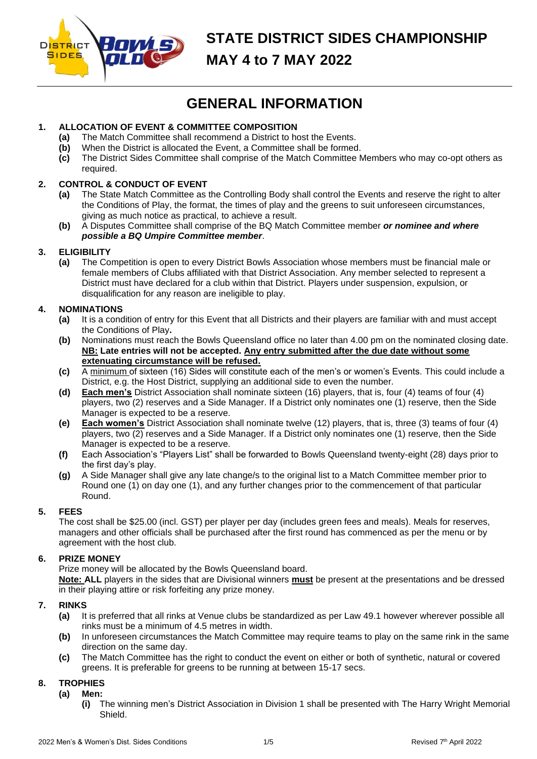

# **STATE DISTRICT SIDES CHAMPIONSHIP MAY 4 to 7 MAY 2022**

# **GENERAL INFORMATION**

# **1. ALLOCATION OF EVENT & COMMITTEE COMPOSITION**

- **(a)** The Match Committee shall recommend a District to host the Events.
- **(b)** When the District is allocated the Event, a Committee shall be formed.
- **(c)** The District Sides Committee shall comprise of the Match Committee Members who may co-opt others as required.

# **2. CONTROL & CONDUCT OF EVENT**

- **(a)** The State Match Committee as the Controlling Body shall control the Events and reserve the right to alter the Conditions of Play, the format, the times of play and the greens to suit unforeseen circumstances, giving as much notice as practical, to achieve a result.
- **(b)** A Disputes Committee shall comprise of the BQ Match Committee member *or nominee and where possible a BQ Umpire Committee member*.

## **3. ELIGIBILITY**

**(a)** The Competition is open to every District Bowls Association whose members must be financial male or female members of Clubs affiliated with that District Association. Any member selected to represent a District must have declared for a club within that District. Players under suspension, expulsion, or disqualification for any reason are ineligible to play.

## **4. NOMINATIONS**

- **(a)** It is a condition of entry for this Event that all Districts and their players are familiar with and must accept the Conditions of Play**.**
- **(b)** Nominations must reach the Bowls Queensland office no later than 4.00 pm on the nominated closing date. **NB: Late entries will not be accepted. Any entry submitted after the due date without some extenuating circumstance will be refused.**
- **(c)** A minimum of sixteen (16) Sides will constitute each of the men's or women's Events. This could include a District, e.g. the Host District, supplying an additional side to even the number.
- **(d) Each men's** District Association shall nominate sixteen (16) players, that is, four (4) teams of four (4) players, two (2) reserves and a Side Manager. If a District only nominates one (1) reserve, then the Side Manager is expected to be a reserve.
- **(e) Each women's** District Association shall nominate twelve (12) players, that is, three (3) teams of four (4) players, two (2) reserves and a Side Manager. If a District only nominates one (1) reserve, then the Side Manager is expected to be a reserve.
- **(f)** Each Association's "Players List" shall be forwarded to Bowls Queensland twenty-eight (28) days prior to the first day's play.
- **(g)** A Side Manager shall give any late change/s to the original list to a Match Committee member prior to Round one (1) on day one (1), and any further changes prior to the commencement of that particular Round.

## **5. FEES**

The cost shall be \$25.00 (incl. GST) per player per day (includes green fees and meals). Meals for reserves, managers and other officials shall be purchased after the first round has commenced as per the menu or by agreement with the host club.

## **6. PRIZE MONEY**

Prize money will be allocated by the Bowls Queensland board. **Note: ALL** players in the sides that are Divisional winners **must** be present at the presentations and be dressed in their playing attire or risk forfeiting any prize money.

## **7. RINKS**

- **(a)** It is preferred that all rinks at Venue clubs be standardized as per Law 49.1 however wherever possible all rinks must be a minimum of 4.5 metres in width.
- **(b)** In unforeseen circumstances the Match Committee may require teams to play on the same rink in the same direction on the same day.
- **(c)** The Match Committee has the right to conduct the event on either or both of synthetic, natural or covered greens. It is preferable for greens to be running at between 15-17 secs.

## **8. TROPHIES**

#### **(a) Men:**

**(i)** The winning men's District Association in Division 1 shall be presented with The Harry Wright Memorial Shield.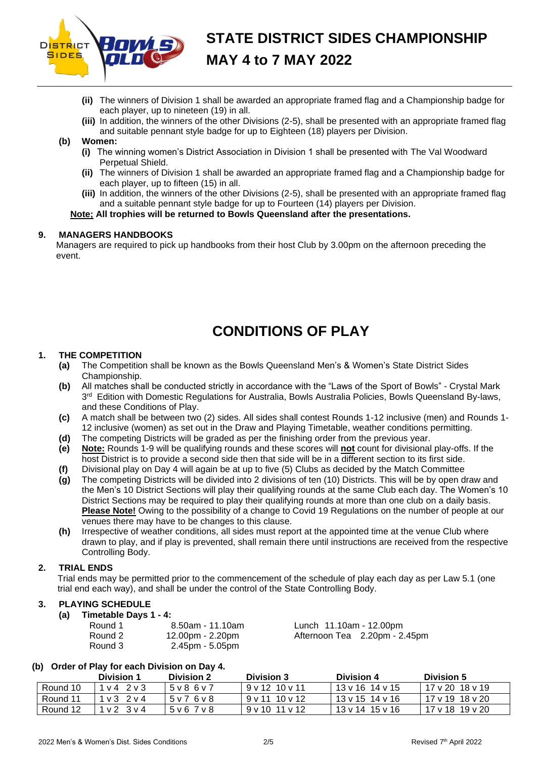

- **(ii)** The winners of Division 1 shall be awarded an appropriate framed flag and a Championship badge for each player, up to nineteen (19) in all.
- **(iii)** In addition, the winners of the other Divisions (2-5), shall be presented with an appropriate framed flag and suitable pennant style badge for up to Eighteen (18) players per Division.

## **(b) Women:**

- **(i)** The winning women's District Association in Division 1 shall be presented with The Val Woodward Perpetual Shield.
- **(ii)** The winners of Division 1 shall be awarded an appropriate framed flag and a Championship badge for each player, up to fifteen (15) in all.
- **(iii)** In addition, the winners of the other Divisions (2-5), shall be presented with an appropriate framed flag and a suitable pennant style badge for up to Fourteen (14) players per Division.

**Note; All trophies will be returned to Bowls Queensland after the presentations.**

#### **9. MANAGERS HANDBOOKS**

Managers are required to pick up handbooks from their host Club by 3.00pm on the afternoon preceding the event.

# **CONDITIONS OF PLAY**

#### **1. THE COMPETITION**

- **(a)** The Competition shall be known as the Bowls Queensland Men's & Women's State District Sides Championship.
- **(b)** All matches shall be conducted strictly in accordance with the "Laws of the Sport of Bowls" Crystal Mark 3<sup>rd</sup> Edition with Domestic Regulations for Australia, Bowls Australia Policies, Bowls Queensland By-laws, and these Conditions of Play.
- **(c)** A match shall be between two (2) sides. All sides shall contest Rounds 1-12 inclusive (men) and Rounds 1- 12 inclusive (women) as set out in the Draw and Playing Timetable, weather conditions permitting.
- **(d)** The competing Districts will be graded as per the finishing order from the previous year.
- **(e) Note:** Rounds 1-9 will be qualifying rounds and these scores will **not** count for divisional play-offs. If the host District is to provide a second side then that side will be in a different section to its first side.
- **(f)** Divisional play on Day 4 will again be at up to five (5) Clubs as decided by the Match Committee
- **(g)** The competing Districts will be divided into 2 divisions of ten (10) Districts. This will be by open draw and the Men's 10 District Sections will play their qualifying rounds at the same Club each day. The Women's 10 District Sections may be required to play their qualifying rounds at more than one club on a daily basis. **Please Note!** Owing to the possibility of a change to Covid 19 Regulations on the number of people at our venues there may have to be changes to this clause.
- **(h)** Irrespective of weather conditions, all sides must report at the appointed time at the venue Club where drawn to play, and if play is prevented, shall remain there until instructions are received from the respective Controlling Body.

## **2. TRIAL ENDS**

Trial ends may be permitted prior to the commencement of the schedule of play each day as per Law 5.1 (one trial end each way), and shall be under the control of the State Controlling Body.

## **3. PLAYING SCHEDULE**

**(a) Timetable Days 1 - 4:**

| Round 1 | 8.50am - 11.10am | Lunch 11.10am - 12.00pm       |
|---------|------------------|-------------------------------|
| Round 2 | 12.00pm - 2.20pm | Afternoon Tea 2.20pm - 2.45pm |
| Round 3 | 2.45pm - 5.05pm  |                               |

## **(b) Order of Play for each Division on Day 4.**

|          | Division 1            | <b>Division 2</b> | <b>Division 3</b>        | Division 4      | Division 5      |
|----------|-----------------------|-------------------|--------------------------|-----------------|-----------------|
| Round 10 | $1\vee 4$ $2\vee 3$   | 5 v 8 6 v 7       | $9 \vee 12$ 10 $\vee$ 11 | 13 v 16 14 v 15 | 17 v 20 18 v 19 |
| Round 11 | $1 \vee 3$ $2 \vee 4$ | 5 v 7 6 v 8       | 9v1110v12                | 13 v 15 14 v 16 | 17 v 19 18 v 20 |
| Round 12 | $1 \vee 2$ $3 \vee 4$ | 5 v 6 7 v 8       | 9v1011v12                | 13 v 14 15 v 16 | 17 v 18 19 v 20 |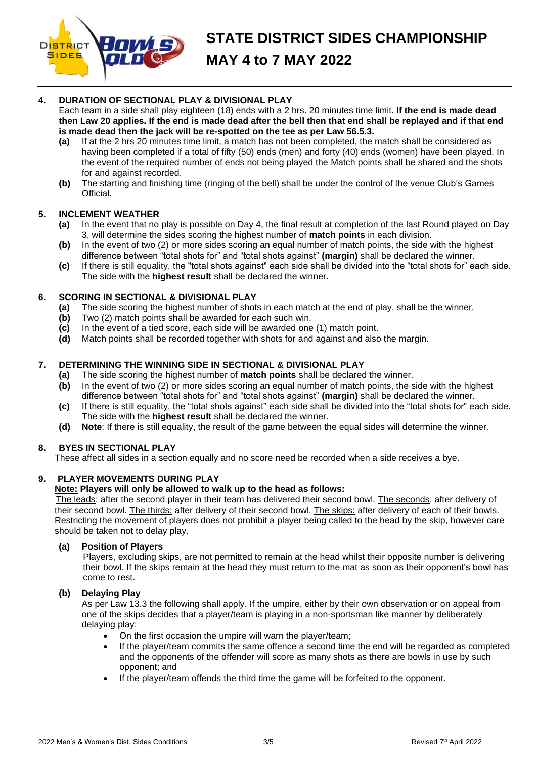

# **4. DURATION OF SECTIONAL PLAY & DIVISIONAL PLAY**

Each team in a side shall play eighteen (18) ends with a 2 hrs. 20 minutes time limit. **If the end is made dead then Law 20 applies. If the end is made dead after the bell then that end shall be replayed and if that end is made dead then the jack will be re-spotted on the tee as per Law 56.5.3.**

- **(a)** If at the 2 hrs 20 minutes time limit, a match has not been completed, the match shall be considered as having been completed if a total of fifty (50) ends (men) and forty (40) ends (women) have been played. In the event of the required number of ends not being played the Match points shall be shared and the shots for and against recorded.
- **(b)** The starting and finishing time (ringing of the bell) shall be under the control of the venue Club's Games Official.

## **5. INCLEMENT WEATHER**

- **(a)** In the event that no play is possible on Day 4, the final result at completion of the last Round played on Day 3, will determine the sides scoring the highest number of **match points** in each division.
- **(b)** In the event of two (2) or more sides scoring an equal number of match points, the side with the highest difference between "total shots for" and "total shots against" **(margin)** shall be declared the winner.
- **(c)** If there is still equality, the "total shots against" each side shall be divided into the "total shots for" each side. The side with the **highest result** shall be declared the winner.

# **6. SCORING IN SECTIONAL & DIVISIONAL PLAY**

- **(a)** The side scoring the highest number of shots in each match at the end of play, shall be the winner.
- **(b)** Two (2) match points shall be awarded for each such win.
- **(c)** In the event of a tied score, each side will be awarded one (1) match point.
- **(d)** Match points shall be recorded together with shots for and against and also the margin.

# **7. DETERMINING THE WINNING SIDE IN SECTIONAL & DIVISIONAL PLAY**

- **(a)** The side scoring the highest number of **match points** shall be declared the winner.
- **(b)** In the event of two (2) or more sides scoring an equal number of match points, the side with the highest difference between "total shots for" and "total shots against" **(margin)** shall be declared the winner.
- **(c)** If there is still equality, the "total shots against" each side shall be divided into the "total shots for" each side. The side with the **highest result** shall be declared the winner.
- **(d) Note**: If there is still equality, the result of the game between the equal sides will determine the winner.

## **8. BYES IN SECTIONAL PLAY**

These affect all sides in a section equally and no score need be recorded when a side receives a bye.

## **9. PLAYER MOVEMENTS DURING PLAY**

# **Note: Players will only be allowed to walk up to the head as follows:**

The leads: after the second player in their team has delivered their second bowl. The seconds: after delivery of their second bowl. The thirds: after delivery of their second bowl. The skips: after delivery of each of their bowls. Restricting the movement of players does not prohibit a player being called to the head by the skip, however care should be taken not to delay play.

## **(a) Position of Players**

Players, excluding skips, are not permitted to remain at the head whilst their opposite number is delivering their bowl. If the skips remain at the head they must return to the mat as soon as their opponent's bowl has come to rest.

## **(b) Delaying Play**

As per Law 13.3 the following shall apply. If the umpire, either by their own observation or on appeal from one of the skips decides that a player/team is playing in a non-sportsman like manner by deliberately delaying play:

- On the first occasion the umpire will warn the player/team;
- If the player/team commits the same offence a second time the end will be regarded as completed and the opponents of the offender will score as many shots as there are bowls in use by such opponent; and
- If the player/team offends the third time the game will be forfeited to the opponent.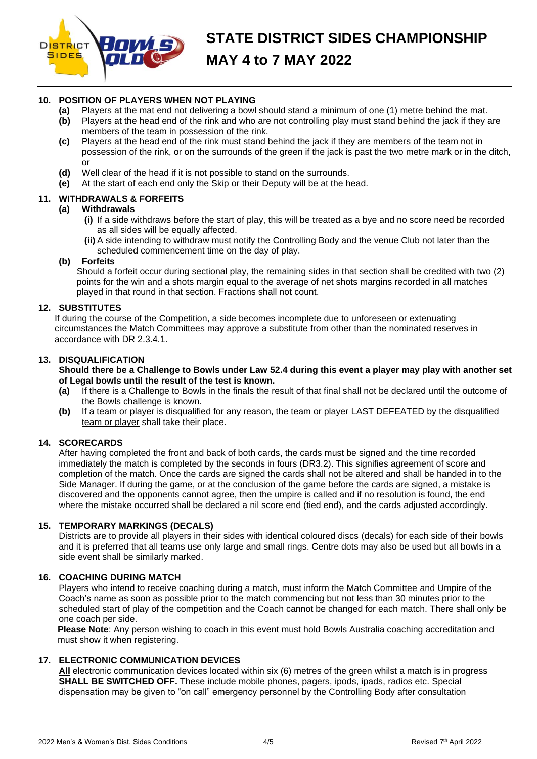

# **STATE DISTRICT SIDES CHAMPIONSHIP MAY 4 to 7 MAY 2022**

# **10. POSITION OF PLAYERS WHEN NOT PLAYING**

- **(a)** Players at the mat end not delivering a bowl should stand a minimum of one (1) metre behind the mat.
- **(b)** Players at the head end of the rink and who are not controlling play must stand behind the jack if they are members of the team in possession of the rink.
- **(c)** Players at the head end of the rink must stand behind the jack if they are members of the team not in possession of the rink, or on the surrounds of the green if the jack is past the two metre mark or in the ditch, or
- **(d)** Well clear of the head if it is not possible to stand on the surrounds.
- **(e)** At the start of each end only the Skip or their Deputy will be at the head.

# **11. WITHDRAWALS & FORFEITS**

## **(a) Withdrawals**

- **(i)** If a side withdraws before the start of play, this will be treated as a bye and no score need be recorded as all sides will be equally affected.
- **(ii)** A side intending to withdraw must notify the Controlling Body and the venue Club not later than the scheduled commencement time on the day of play.

#### **(b) Forfeits**

Should a forfeit occur during sectional play, the remaining sides in that section shall be credited with two (2) points for the win and a shots margin equal to the average of net shots margins recorded in all matches played in that round in that section. Fractions shall not count.

## **12. SUBSTITUTES**

If during the course of the Competition, a side becomes incomplete due to unforeseen or extenuating circumstances the Match Committees may approve a substitute from other than the nominated reserves in accordance with DR 2.3.4.1.

#### **13. DISQUALIFICATION**

#### **Should there be a Challenge to Bowls under Law 52.4 during this event a player may play with another set of Legal bowls until the result of the test is known.**

- **(a)** If there is a Challenge to Bowls in the finals the result of that final shall not be declared until the outcome of the Bowls challenge is known.
- **(b)** If a team or player is disqualified for any reason, the team or player LAST DEFEATED by the disqualified team or player shall take their place.

## **14. SCORECARDS**

After having completed the front and back of both cards, the cards must be signed and the time recorded immediately the match is completed by the seconds in fours (DR3.2). This signifies agreement of score and completion of the match. Once the cards are signed the cards shall not be altered and shall be handed in to the Side Manager. If during the game, or at the conclusion of the game before the cards are signed, a mistake is discovered and the opponents cannot agree, then the umpire is called and if no resolution is found, the end where the mistake occurred shall be declared a nil score end (tied end), and the cards adjusted accordingly.

## **15. TEMPORARY MARKINGS (DECALS)**

Districts are to provide all players in their sides with identical coloured discs (decals) for each side of their bowls and it is preferred that all teams use only large and small rings. Centre dots may also be used but all bowls in a side event shall be similarly marked.

## **16. COACHING DURING MATCH**

Players who intend to receive coaching during a match, must inform the Match Committee and Umpire of the Coach's name as soon as possible prior to the match commencing but not less than 30 minutes prior to the scheduled start of play of the competition and the Coach cannot be changed for each match. There shall only be one coach per side.

**Please Note**: Any person wishing to coach in this event must hold Bowls Australia coaching accreditation and must show it when registering.

## **17. ELECTRONIC COMMUNICATION DEVICES**

**All** electronic communication devices located within six (6) metres of the green whilst a match is in progress **SHALL BE SWITCHED OFF.** These include mobile phones, pagers, ipods, ipads, radios etc. Special dispensation may be given to "on call" emergency personnel by the Controlling Body after consultation